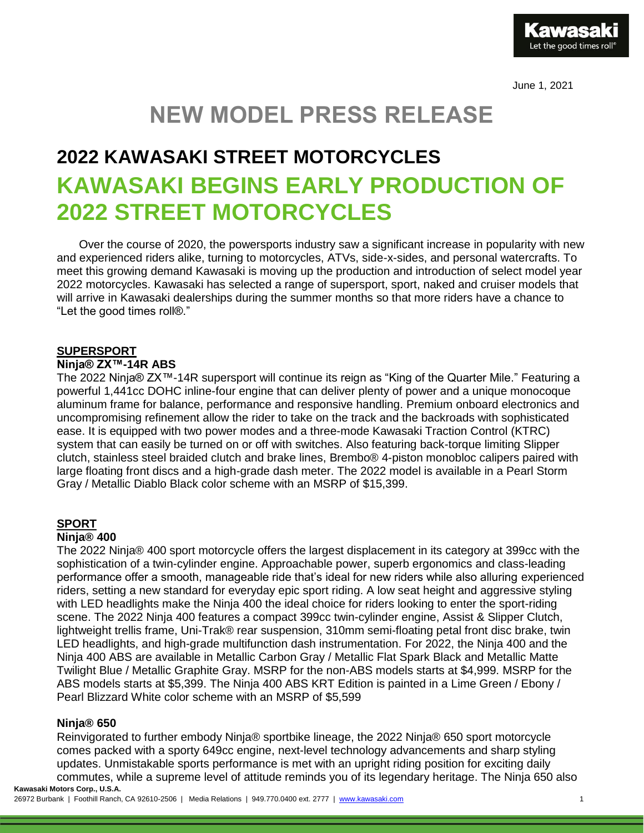Let the good times roll

June 1, 2021

# **NEW MODEL PRESS RELEASE**

# **2022 KAWASAKI STREET MOTORCYCLES KAWASAKI BEGINS EARLY PRODUCTION OF 2022 STREET MOTORCYCLES**

Over the course of 2020, the powersports industry saw a significant increase in popularity with new and experienced riders alike, turning to motorcycles, ATVs, side-x-sides, and personal watercrafts. To meet this growing demand Kawasaki is moving up the production and introduction of select model year 2022 motorcycles. Kawasaki has selected a range of supersport, sport, naked and cruiser models that will arrive in Kawasaki dealerships during the summer months so that more riders have a chance to "Let the good times roll®."

## **SUPERSPORT**

## **Ninja® ZX™-14R ABS**

The 2022 Ninja® ZX™-14R supersport will continue its reign as "King of the Quarter Mile." Featuring a powerful 1,441cc DOHC inline-four engine that can deliver plenty of power and a unique monocoque aluminum frame for balance, performance and responsive handling. Premium onboard electronics and uncompromising refinement allow the rider to take on the track and the backroads with sophisticated ease. It is equipped with two power modes and a three-mode Kawasaki Traction Control (KTRC) system that can easily be turned on or off with switches. Also featuring back-torque limiting Slipper clutch, stainless steel braided clutch and brake lines, Brembo® 4-piston monobloc calipers paired with large floating front discs and a high-grade dash meter. The 2022 model is available in a Pearl Storm Gray / Metallic Diablo Black color scheme with an MSRP of \$15,399.

# **SPORT**

#### **Ninja® 400**

The 2022 Ninja® 400 sport motorcycle offers the largest displacement in its category at 399cc with the sophistication of a twin-cylinder engine. Approachable power, superb ergonomics and class-leading performance offer a smooth, manageable ride that's ideal for new riders while also alluring experienced riders, setting a new standard for everyday epic sport riding. A low seat height and aggressive styling with LED headlights make the Ninja 400 the ideal choice for riders looking to enter the sport-riding scene. The 2022 Ninja 400 features a compact 399cc twin-cylinder engine, Assist & Slipper Clutch, lightweight trellis frame, Uni-Trak® rear suspension, 310mm semi-floating petal front disc brake, twin LED headlights, and high-grade multifunction dash instrumentation. For 2022, the Ninja 400 and the Ninja 400 ABS are available in Metallic Carbon Gray / Metallic Flat Spark Black and Metallic Matte Twilight Blue / Metallic Graphite Gray. MSRP for the non-ABS models starts at \$4,999. MSRP for the ABS models starts at \$5,399. The Ninja 400 ABS KRT Edition is painted in a Lime Green / Ebony / Pearl Blizzard White color scheme with an MSRP of \$5,599

## **Ninja® 650**

**Kawasaki Motors Corp., U.S.A.** Reinvigorated to further embody Ninja® sportbike lineage, the 2022 Ninja® 650 sport motorcycle comes packed with a sporty 649cc engine, next-level technology advancements and sharp styling updates. Unmistakable sports performance is met with an upright riding position for exciting daily commutes, while a supreme level of attitude reminds you of its legendary heritage. The Ninja 650 also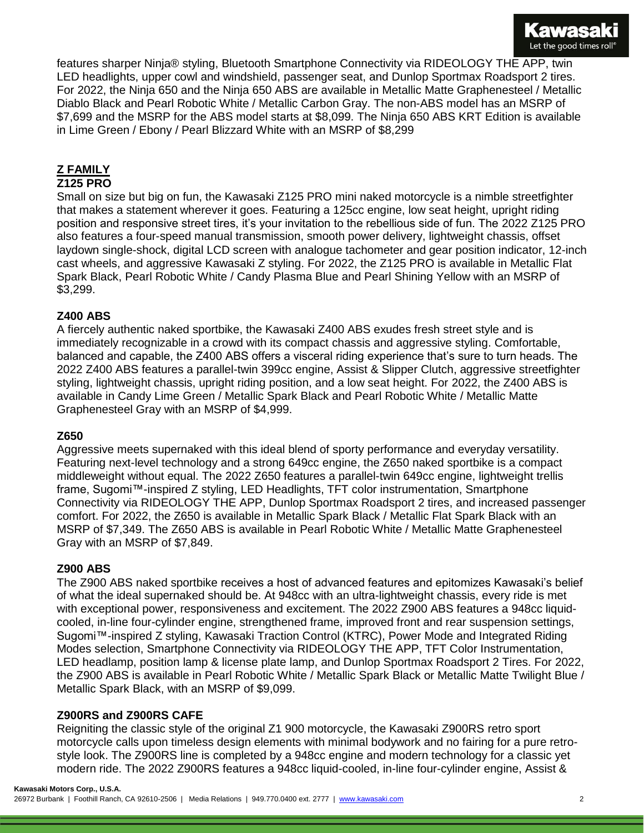

features sharper Ninja® styling, Bluetooth Smartphone Connectivity via RIDEOLOGY THE APP, twin LED headlights, upper cowl and windshield, passenger seat, and Dunlop Sportmax Roadsport 2 tires. For 2022, the Ninja 650 and the Ninja 650 ABS are available in Metallic Matte Graphenesteel / Metallic Diablo Black and Pearl Robotic White / Metallic Carbon Gray. The non-ABS model has an MSRP of \$7,699 and the MSRP for the ABS model starts at \$8,099. The Ninja 650 ABS KRT Edition is available in Lime Green / Ebony / Pearl Blizzard White with an MSRP of \$8,299

# **Z FAMILY**

# **Z125 PRO**

Small on size but big on fun, the Kawasaki Z125 PRO mini naked motorcycle is a nimble streetfighter that makes a statement wherever it goes. Featuring a 125cc engine, low seat height, upright riding position and responsive street tires, it's your invitation to the rebellious side of fun. The 2022 Z125 PRO also features a four-speed manual transmission, smooth power delivery, lightweight chassis, offset laydown single-shock, digital LCD screen with analogue tachometer and gear position indicator, 12-inch cast wheels, and aggressive Kawasaki Z styling. For 2022, the Z125 PRO is available in Metallic Flat Spark Black, Pearl Robotic White / Candy Plasma Blue and Pearl Shining Yellow with an MSRP of \$3,299.

## **Z400 ABS**

A fiercely authentic naked sportbike, the Kawasaki Z400 ABS exudes fresh street style and is immediately recognizable in a crowd with its compact chassis and aggressive styling. Comfortable, balanced and capable, the Z400 ABS offers a visceral riding experience that's sure to turn heads. The 2022 Z400 ABS features a parallel-twin 399cc engine, Assist & Slipper Clutch, aggressive streetfighter styling, lightweight chassis, upright riding position, and a low seat height. For 2022, the Z400 ABS is available in Candy Lime Green / Metallic Spark Black and Pearl Robotic White / Metallic Matte Graphenesteel Gray with an MSRP of \$4,999.

#### **Z650**

Aggressive meets supernaked with this ideal blend of sporty performance and everyday versatility. Featuring next-level technology and a strong 649cc engine, the Z650 naked sportbike is a compact middleweight without equal. The 2022 Z650 features a parallel-twin 649cc engine, lightweight trellis frame, Sugomi™-inspired Z styling, LED Headlights, TFT color instrumentation, Smartphone Connectivity via RIDEOLOGY THE APP, Dunlop Sportmax Roadsport 2 tires, and increased passenger comfort. For 2022, the Z650 is available in Metallic Spark Black / Metallic Flat Spark Black with an MSRP of \$7,349. The Z650 ABS is available in Pearl Robotic White / Metallic Matte Graphenesteel Gray with an MSRP of \$7,849.

#### **Z900 ABS**

The Z900 ABS naked sportbike receives a host of advanced features and epitomizes Kawasaki's belief of what the ideal supernaked should be. At 948cc with an ultra-lightweight chassis, every ride is met with exceptional power, responsiveness and excitement. The 2022 Z900 ABS features a 948cc liquidcooled, in-line four-cylinder engine, strengthened frame, improved front and rear suspension settings, Sugomi™-inspired Z styling, Kawasaki Traction Control (KTRC), Power Mode and Integrated Riding Modes selection, Smartphone Connectivity via RIDEOLOGY THE APP, TFT Color Instrumentation, LED headlamp, position lamp & license plate lamp, and Dunlop Sportmax Roadsport 2 Tires. For 2022, the Z900 ABS is available in Pearl Robotic White / Metallic Spark Black or Metallic Matte Twilight Blue / Metallic Spark Black, with an MSRP of \$9,099.

## **Z900RS and Z900RS CAFE**

Reigniting the classic style of the original Z1 900 motorcycle, the Kawasaki Z900RS retro sport motorcycle calls upon timeless design elements with minimal bodywork and no fairing for a pure retrostyle look. The Z900RS line is completed by a 948cc engine and modern technology for a classic yet modern ride. The 2022 Z900RS features a 948cc liquid-cooled, in-line four-cylinder engine, Assist &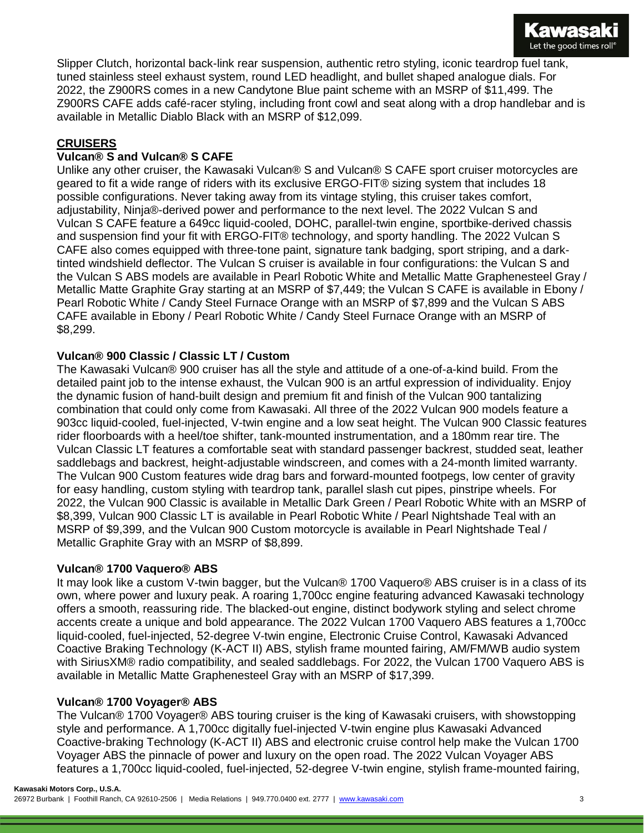

Slipper Clutch, horizontal back-link rear suspension, authentic retro styling, iconic teardrop fuel tank, tuned stainless steel exhaust system, round LED headlight, and bullet shaped analogue dials. For 2022, the Z900RS comes in a new Candytone Blue paint scheme with an MSRP of \$11,499. The Z900RS CAFE adds café-racer styling, including front cowl and seat along with a drop handlebar and is available in Metallic Diablo Black with an MSRP of \$12,099.

# **CRUISERS**

## **Vulcan® S and Vulcan® S CAFE**

Unlike any other cruiser, the Kawasaki Vulcan® S and Vulcan® S CAFE sport cruiser motorcycles are geared to fit a wide range of riders with its exclusive ERGO-FIT® sizing system that includes 18 possible configurations. Never taking away from its vintage styling, this cruiser takes comfort, adjustability, Ninja®-derived power and performance to the next level. The 2022 Vulcan S and Vulcan S CAFE feature a 649cc liquid-cooled, DOHC, parallel-twin engine, sportbike-derived chassis and suspension find your fit with ERGO-FIT® technology, and sporty handling. The 2022 Vulcan S CAFE also comes equipped with three-tone paint, signature tank badging, sport striping, and a darktinted windshield deflector. The Vulcan S cruiser is available in four configurations: the Vulcan S and the Vulcan S ABS models are available in Pearl Robotic White and Metallic Matte Graphenesteel Gray / Metallic Matte Graphite Gray starting at an MSRP of \$7,449; the Vulcan S CAFE is available in Ebony / Pearl Robotic White / Candy Steel Furnace Orange with an MSRP of \$7,899 and the Vulcan S ABS CAFE available in Ebony / Pearl Robotic White / Candy Steel Furnace Orange with an MSRP of \$8,299.

## **Vulcan® 900 Classic / Classic LT / Custom**

The Kawasaki Vulcan® 900 cruiser has all the style and attitude of a one-of-a-kind build. From the detailed paint job to the intense exhaust, the Vulcan 900 is an artful expression of individuality. Enjoy the dynamic fusion of hand-built design and premium fit and finish of the Vulcan 900 tantalizing combination that could only come from Kawasaki. All three of the 2022 Vulcan 900 models feature a 903cc liquid-cooled, fuel-injected, V-twin engine and a low seat height. The Vulcan 900 Classic features rider floorboards with a heel/toe shifter, tank-mounted instrumentation, and a 180mm rear tire. The Vulcan Classic LT features a comfortable seat with standard passenger backrest, studded seat, leather saddlebags and backrest, height-adjustable windscreen, and comes with a 24-month limited warranty. The Vulcan 900 Custom features wide drag bars and forward-mounted footpegs, low center of gravity for easy handling, custom styling with teardrop tank, parallel slash cut pipes, pinstripe wheels. For 2022, the Vulcan 900 Classic is available in Metallic Dark Green / Pearl Robotic White with an MSRP of \$8,399, Vulcan 900 Classic LT is available in Pearl Robotic White / Pearl Nightshade Teal with an MSRP of \$9,399, and the Vulcan 900 Custom motorcycle is available in Pearl Nightshade Teal / Metallic Graphite Gray with an MSRP of \$8,899.

## **Vulcan® 1700 Vaquero® ABS**

It may look like a custom V-twin bagger, but the Vulcan® 1700 Vaquero® ABS cruiser is in a class of its own, where power and luxury peak. A roaring 1,700cc engine featuring advanced Kawasaki technology offers a smooth, reassuring ride. The blacked-out engine, distinct bodywork styling and select chrome accents create a unique and bold appearance. The 2022 Vulcan 1700 Vaquero ABS features a 1,700cc liquid-cooled, fuel-injected, 52-degree V-twin engine, Electronic Cruise Control, Kawasaki Advanced Coactive Braking Technology (K-ACT II) ABS, stylish frame mounted fairing, AM/FM/WB audio system with SiriusXM® radio compatibility, and sealed saddlebags. For 2022, the Vulcan 1700 Vaquero ABS is available in Metallic Matte Graphenesteel Gray with an MSRP of \$17,399.

## **Vulcan® 1700 Voyager® ABS**

The Vulcan® 1700 Voyager® ABS touring cruiser is the king of Kawasaki cruisers, with showstopping style and performance. A 1,700cc digitally fuel-injected V-twin engine plus Kawasaki Advanced Coactive-braking Technology (K-ACT II) ABS and electronic cruise control help make the Vulcan 1700 Voyager ABS the pinnacle of power and luxury on the open road. The 2022 Vulcan Voyager ABS features a 1,700cc liquid-cooled, fuel-injected, 52-degree V-twin engine, stylish frame-mounted fairing,